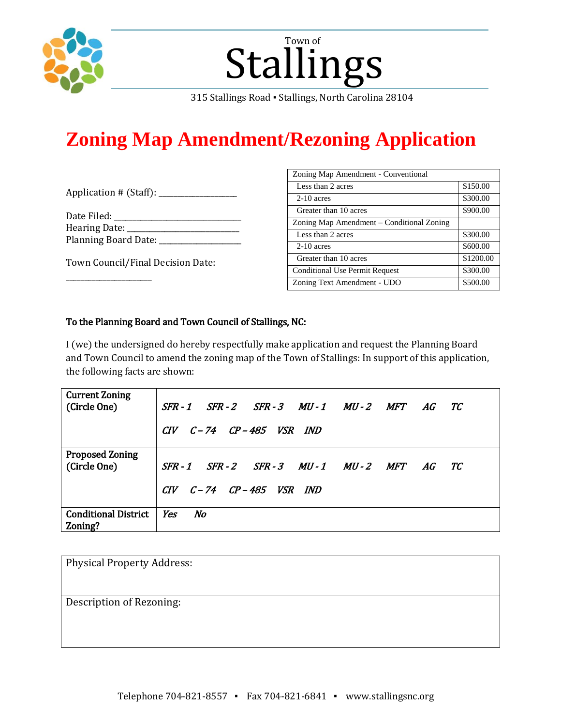

# Stallings Town of

315 Stallings Road ▪ Stallings, North Carolina 28104

# **Zoning Map Amendment/Rezoning Application**

| Application # (Staff): |  |  |
|------------------------|--|--|
|------------------------|--|--|

| Date Filed:                 |  |
|-----------------------------|--|
| Hearing Date:               |  |
| <b>Planning Board Date:</b> |  |

Town Council/Final Decision Date:

\_\_\_\_\_\_\_\_\_\_\_\_\_\_\_\_\_\_\_\_\_\_\_

| Zoning Map Amendment - Conventional       |           |  |  |
|-------------------------------------------|-----------|--|--|
| Less than 2 acres                         | \$150.00  |  |  |
| $2-10$ acres                              | \$300.00  |  |  |
| Greater than 10 acres                     | \$900.00  |  |  |
| Zoning Map Amendment – Conditional Zoning |           |  |  |
| Less than 2 acres                         | \$300.00  |  |  |
| $2-10$ acres                              | \$600.00  |  |  |
| Greater than 10 acres                     | \$1200.00 |  |  |
| <b>Conditional Use Permit Request</b>     | \$300.00  |  |  |
| Zoning Text Amendment - UDO               | \$500.00  |  |  |

## To the Planning Board and Town Council of Stallings, NC:

I (we) the undersigned do hereby respectfully make application and request the Planning Board and Town Council to amend the zoning map of the Town of Stallings: In support of this application, the following facts are shown:

| <b>Current Zoning</b><br>(Circle One)  | SFR-1 SFR-2 SFR-3 MU-1 MU-2 MFT<br>AG<br>TC.<br>CIV C-74 CP-485 VSR IND       |
|----------------------------------------|-------------------------------------------------------------------------------|
| <b>Proposed Zoning</b><br>(Circle One) | SFR-1 SFR-2 SFR-3 MU-1 MU-2 MFT<br>AG TC<br>$CIV$ $C-74$ $CP-485$ $VSR$ $IND$ |
| <b>Conditional District</b><br>Zoning? | Yes<br>No                                                                     |

| <b>Physical Property Address:</b> |  |
|-----------------------------------|--|
| Description of Rezoning:          |  |
|                                   |  |